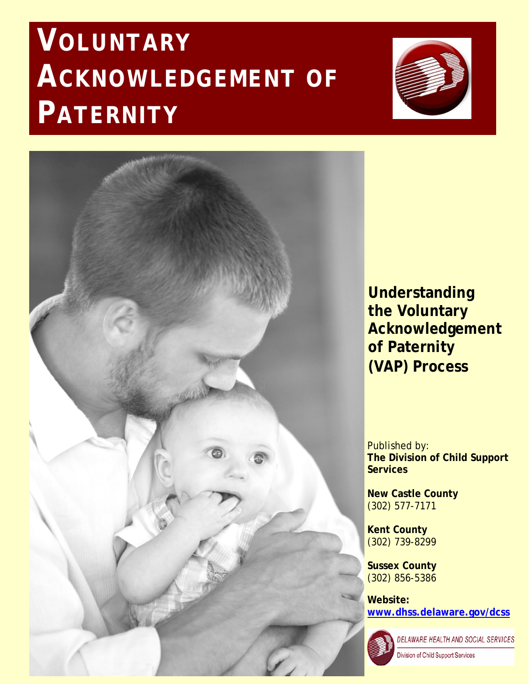# **VOLUNTARY ACKNOWLEDGEMENT OF PATERNITY**





**Understanding the Voluntary Acknowledgement of Paternity (VAP) Process**

Published by: **The Division of Child Support Services**

**New Castle County** (302) 577-7171

**Kent County** (302) 739-8299

**Sussex County** (302) 856-5386

**Website: [www.dhss.delaware.gov/dcss](http://www.dhss.delaware.gov/dcss)**



DELAWARE HEALTH AND SOCIAL SERVICES

Division of Child Support Services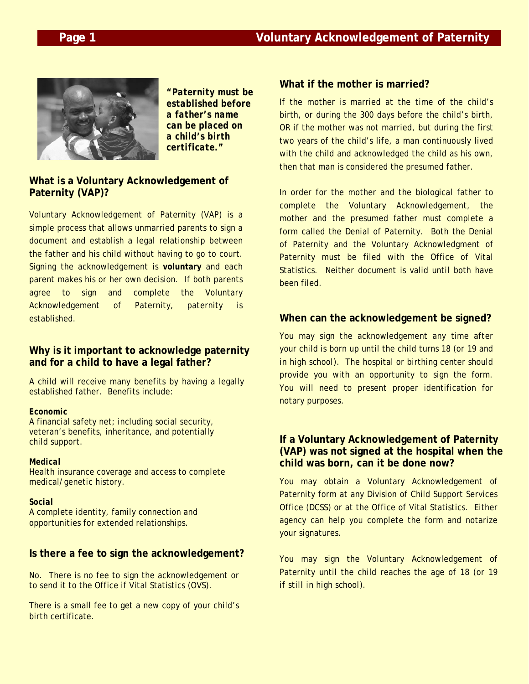

*"Paternity must be established before a father's name can be placed on a child's birth certificate."*

### **What is a Voluntary Acknowledgement of Paternity (VAP)?**

Voluntary Acknowledgement of Paternity (VAP) is a simple process that allows unmarried parents to sign a document and establish a legal relationship between the father and his child without having to go to court. Signing the acknowledgement is **voluntary** and each parent makes his or her own decision. If both parents agree to sign and complete the Voluntary Acknowledgement of Paternity, paternity is established.

### **Why is it important to acknowledge paternity and for a child to have a legal father?**

A child will receive many benefits by having a legally established father. Benefits include:

### *Economic*

A financial safety net; including social security, veteran's benefits, inheritance, and potentially child support.

### *Medical*

Health insurance coverage and access to complete medical/genetic history.

### *Social*

A complete identity, family connection and opportunities for extended relationships.

## **Is there a fee to sign the acknowledgement?**

No. There is no fee to sign the acknowledgement or to send it to the Office if Vital Statistics (OVS).

There is a small fee to get a new copy of your child's birth certificate.

### **What if the mother is married?**

If the mother is married at the time of the child's birth, or during the 300 days before the child's birth, OR if the mother was not married, but during the first two years of the child's life, a man continuously lived with the child and acknowledged the child as his own, then that man is considered the presumed father.

In order for the mother and the biological father to complete the Voluntary Acknowledgement, the mother and the presumed father must complete a form called the Denial of Paternity. Both the Denial of Paternity and the Voluntary Acknowledgment of Paternity must be filed with the Office of Vital Statistics. Neither document is valid until both have been filed.

## **When can the acknowledgement be signed?**

You may sign the acknowledgement any time after your child is born up until the child turns 18 (*or 19 and in high school*). The hospital or birthing center should provide you with an opportunity to sign the form. You will need to present proper identification for notary purposes.

### **If a Voluntary Acknowledgement of Paternity (VAP) was not signed at the hospital when the child was born, can it be done now?**

You may obtain a Voluntary Acknowledgement of Paternity form at any Division of Child Support Services Office (DCSS) or at the Office of Vital Statistics. Either agency can help you complete the form and notarize your signatures.

You may sign the Voluntary Acknowledgement of Paternity until the child reaches the age of 18 (*or 19 if still in high school*).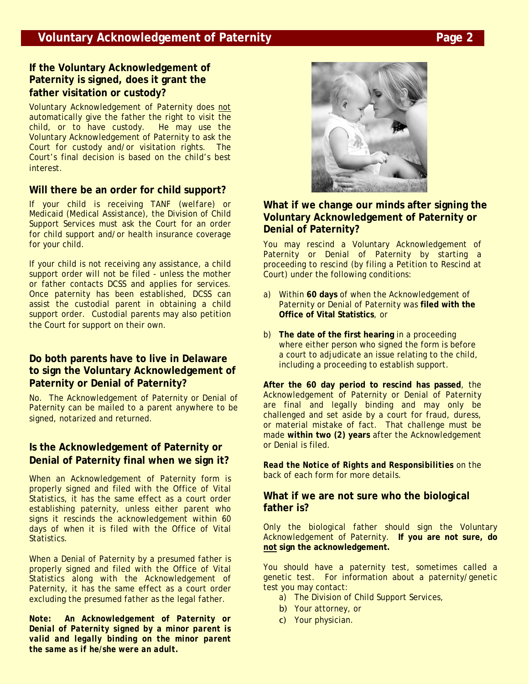# **If the Voluntary Acknowledgement of Paternity is signed, does it grant the father visitation or custody?**

Voluntary Acknowledgement of Paternity does not automatically give the father the right to visit the child, or to have custody. He may use the Voluntary Acknowledgement of Paternity to ask the Court for custody and/or visitation rights. The Court's final decision is based on the child's best interest.

# **Will there be an order for child support?**

If your child is receiving TANF (*welfare*) or Medicaid (*Medical Assistance*), the Division of Child Support Services must ask the Court for an order for child support and/or health insurance coverage for your child.

If your child is not receiving any assistance, a child support order will not be filed - unless the mother or father contacts DCSS and applies for services. Once paternity has been established, DCSS can assist the custodial parent in obtaining a child support order. Custodial parents may also petition the Court for support on their own.

## **Do both parents have to live in Delaware to sign the Voluntary Acknowledgement of Paternity or Denial of Paternity?**

No. The Acknowledgement of Paternity or Denial of Paternity can be mailed to a parent anywhere to be signed, notarized and returned.

## **Is the Acknowledgement of Paternity or Denial of Paternity final when we sign it?**

When an Acknowledgement of Paternity form is properly signed and filed with the Office of Vital Statistics, it has the same effect as a court order establishing paternity, unless either parent who signs it rescinds the acknowledgement within 60 days of when it is filed with the Office of Vital Statistics.

When a Denial of Paternity by a presumed father is properly signed and filed with the Office of Vital Statistics along with the Acknowledgement of Paternity, it has the same effect as a court order excluding the presumed father as the legal father.

*Note: An Acknowledgement of Paternity or Denial of Paternity signed by a minor parent is valid and legally binding on the minor parent the same as if he/she were an adult.*



### **What if we change our minds after signing the Voluntary Acknowledgement of Paternity or Denial of Paternity?**

You may rescind a Voluntary Acknowledgement of Paternity or Denial of Paternity by starting a proceeding to rescind (by filing a Petition to Rescind at Court) under the following conditions:

- a) Within **60 days** of when the Acknowledgement of Paternity or Denial of Paternity was **filed with the Office of Vital Statistics**, or
- b) **The date of the first hearing** in a proceeding where either person who signed the form is before a court to adjudicate an issue relating to the child, including a proceeding to establish support.

**After the 60 day period to rescind has passed**, the Acknowledgement of Paternity or Denial of Paternity are final and legally binding and may only be challenged and set aside by a court for fraud, duress, or material mistake of fact. That challenge must be made **within two (2) years** after the Acknowledgement or Denial is filed.

*Read the Notice of Rights and Responsibilities* on the back of each form for more details.

### **What if we are not sure who the biological father is?**

Only the biological father should sign the Voluntary Acknowledgement of Paternity. **If you are not sure, do not sign the acknowledgement.** 

You should have a paternity test, sometimes called a genetic test. For information about a paternity/genetic test you may contact:

- a) The Division of Child Support Services,
- b) Your attorney, or
- c) Your physician.